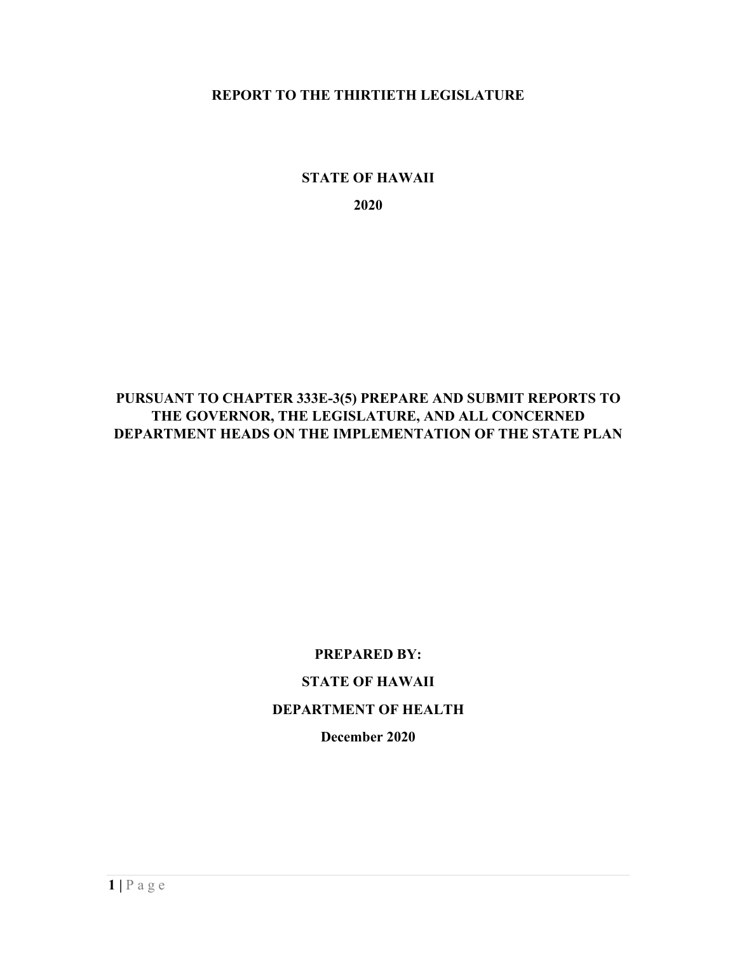#### **REPORT TO THE THIRTIETH LEGISLATURE**

#### **STATE OF HAWAII**

**2020**

### **PURSUANT TO CHAPTER 333E-3(5) PREPARE AND SUBMIT REPORTS TO THE GOVERNOR, THE LEGISLATURE, AND ALL CONCERNED DEPARTMENT HEADS ON THE IMPLEMENTATION OF THE STATE PLAN**

## **PREPARED BY: STATE OF HAWAII DEPARTMENT OF HEALTH December 2020**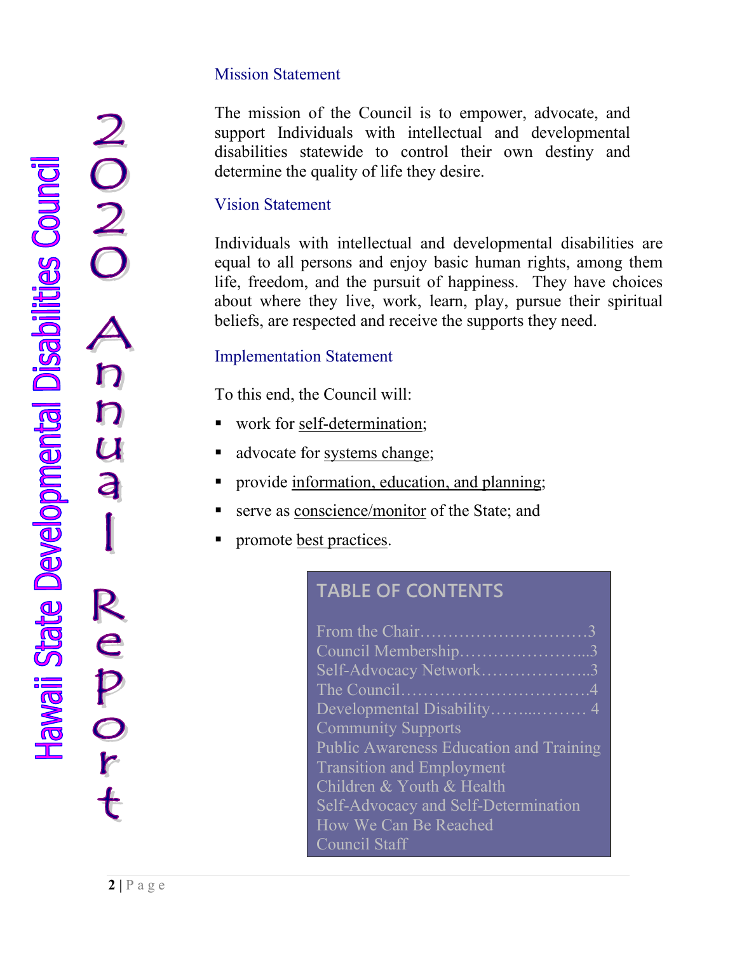a

### Mission Statement

The mission of the Council is to empower, advocate, and support Individuals with intellectual and developmental disabilities statewide to control their own destiny and determine the quality of life they desire.

### Vision Statement

Individuals with intellectual and developmental disabilities are equal to all persons and enjoy basic human rights, among them life, freedom, and the pursuit of happiness. They have choices about where they live, work, learn, play, pursue their spiritual beliefs, are respected and receive the supports they need.

### Implementation Statement

To this end, the Council will:

- work for self-determination;
- advocate for systems change;
- provide information, education, and planning;
- serve as conscience/monitor of the State; and
- promote best practices.

## **TABLE OF CONTENTS**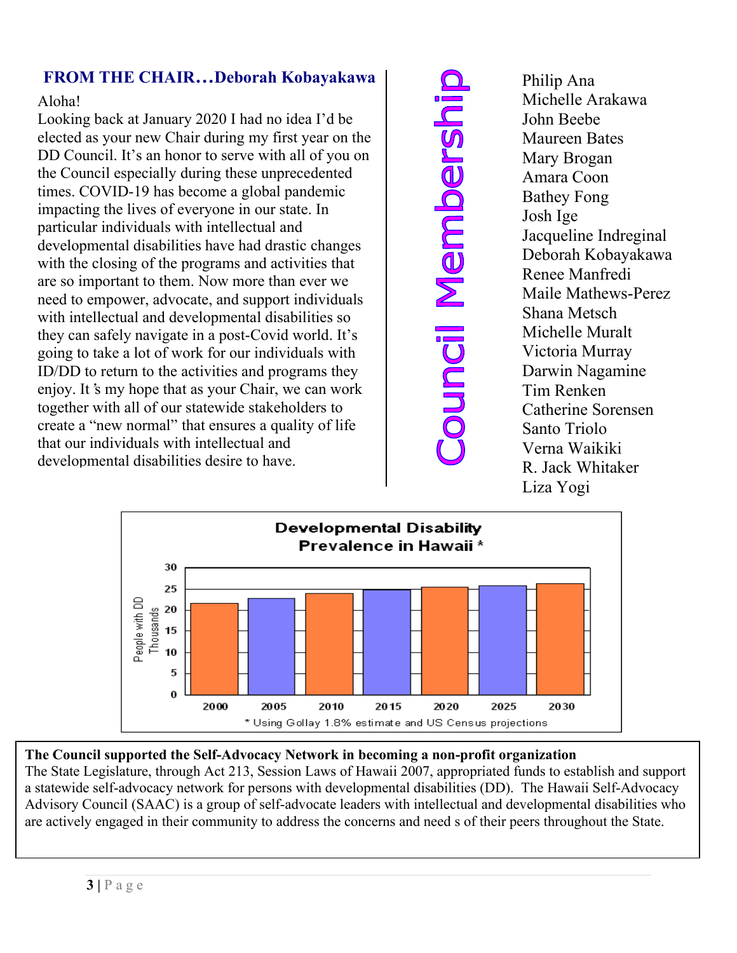### **FROM THE CHAIR…Deborah Kobayakawa**

### Aloha!

Looking back at January 2020 I had no idea I'd be elected as your new Chair during my first year on the DD Council. It's an honor to serve with all of you on the Council especially during these unprecedented times. COVID-19 has become a global pandemic impacting the lives of everyone in our state. In particular individuals with intellectual and developmental disabilities have had drastic changes with the closing of the programs and activities that are so important to them. Now more than ever we need to empower, advocate, and support individuals with intellectual and developmental disabilities so they can safely navigate in a post-Covid world. It's going to take a lot of work for our individuals with ID/DD to return to the activities and programs they enjoy. It's my hope that as your Chair, we can work together with all of our statewide stakeholders to create a "new normal" that ensures a quality of life that our individuals with intellectual and developmental disabilities desire to have.

Jouncil Membershi

Philip Ana Michelle Arakawa John Beebe Maureen Bates Mary Brogan Amara Coon Bathey Fong Josh Ige Jacqueline Indreginal Deborah Kobayakawa Renee Manfredi Maile Mathews-Perez Shana Metsch Michelle Muralt Victoria Murray Darwin Nagamine Tim Renken Catherine Sorensen Santo Triolo Verna Waikiki R. Jack Whitaker Liza Yogi



**The Council supported the Self-Advocacy Network in becoming a non-profit organization** The State Legislature, through Act 213, Session Laws of Hawaii 2007, appropriated funds to establish and support a statewide self-advocacy network for persons with developmental disabilities (DD). The Hawaii Self-Advocacy Advisory Council (SAAC) is a group of self-advocate leaders with intellectual and developmental disabilities who are actively engaged in their community to address the concerns and need s of their peers throughout the State.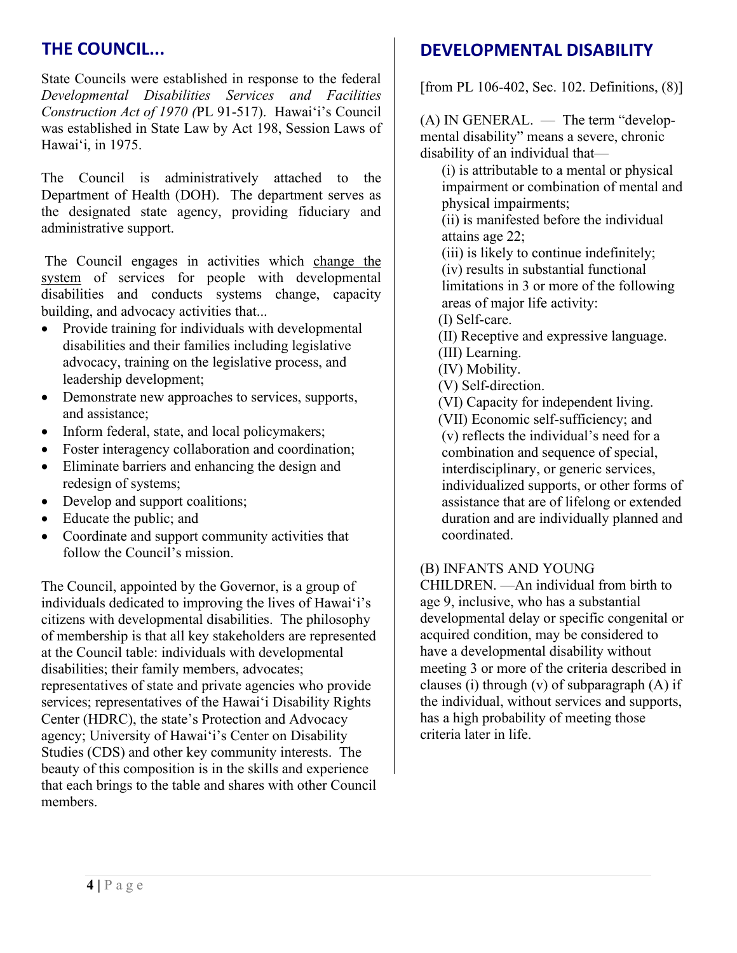### **THE COUNCIL...**

State Councils were established in response to the federal *Developmental Disabilities Services and Facilities Construction Act of 1970 (*PL 91-517). Hawai'i's Council was established in State Law by Act 198, Session Laws of Hawai'i, in 1975.

The Council is administratively attached to the Department of Health (DOH). The department serves as the designated state agency, providing fiduciary and administrative support.

The Council engages in activities which change the system of services for people with developmental disabilities and conducts systems change, capacity building, and advocacy activities that...

- Provide training for individuals with developmental disabilities and their families including legislative advocacy, training on the legislative process, and leadership development;
- Demonstrate new approaches to services, supports, and assistance;
- Inform federal, state, and local policymakers;
- Foster interagency collaboration and coordination;
- Eliminate barriers and enhancing the design and redesign of systems;
- Develop and support coalitions;
- Educate the public; and
- Coordinate and support community activities that follow the Council's mission.

The Council, appointed by the Governor, is a group of individuals dedicated to improving the lives of Hawai'i's citizens with developmental disabilities. The philosophy of membership is that all key stakeholders are represented at the Council table: individuals with developmental disabilities; their family members, advocates; representatives of state and private agencies who provide services; representatives of the Hawai'i Disability Rights Center (HDRC), the state's Protection and Advocacy agency; University of Hawai'i's Center on Disability Studies (CDS) and other key community interests. The beauty of this composition is in the skills and experience that each brings to the table and shares with other Council members.

## **DEVELOPMENTAL DISABILITY**

[from PL 106-402, Sec. 102. Definitions, (8)]

(A) IN GENERAL. — The term "developmental disability" means a severe, chronic disability of an individual that—

(i) is attributable to a mental or physical impairment or combination of mental and physical impairments;

(ii) is manifested before the individual attains age 22;

(iii) is likely to continue indefinitely; (iv) results in substantial functional limitations in 3 or more of the following areas of major life activity:

(I) Self-care.

 (II) Receptive and expressive language. (III) Learning.

(IV) Mobility.

(V) Self-direction.

 (VI) Capacity for independent living. (VII) Economic self-sufficiency; and (v) reflects the individual's need for a combination and sequence of special, interdisciplinary, or generic services, individualized supports, or other forms of assistance that are of lifelong or extended duration and are individually planned and coordinated.

### (B) INFANTS AND YOUNG

CHILDREN. —An individual from birth to age 9, inclusive, who has a substantial developmental delay or specific congenital or acquired condition, may be considered to have a developmental disability without meeting 3 or more of the criteria described in clauses (i) through  $(v)$  of subparagraph  $(A)$  if the individual, without services and supports, has a high probability of meeting those criteria later in life.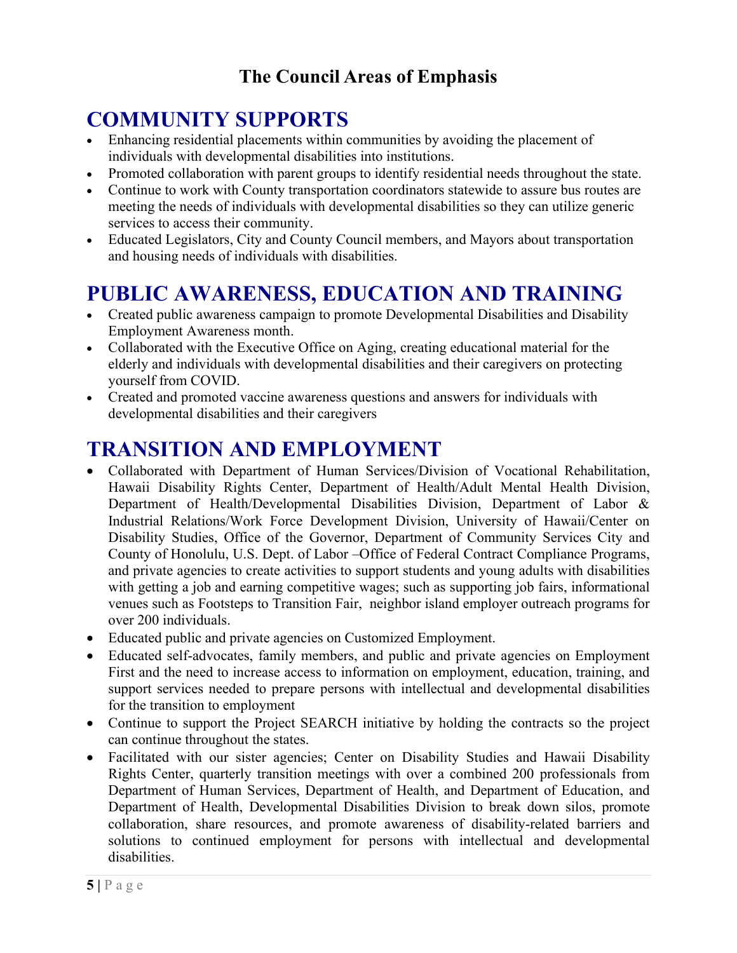## **The Council Areas of Emphasis**

## **COMMUNITY SUPPORTS**

- Enhancing residential placements within communities by avoiding the placement of individuals with developmental disabilities into institutions.
- Promoted collaboration with parent groups to identify residential needs throughout the state.
- Continue to work with County transportation coordinators statewide to assure bus routes are meeting the needs of individuals with developmental disabilities so they can utilize generic services to access their community.
- Educated Legislators, City and County Council members, and Mayors about transportation and housing needs of individuals with disabilities.

## **PUBLIC AWARENESS, EDUCATION AND TRAINING**

- Created public awareness campaign to promote Developmental Disabilities and Disability Employment Awareness month.
- Collaborated with the Executive Office on Aging, creating educational material for the elderly and individuals with developmental disabilities and their caregivers on protecting yourself from COVID.
- Created and promoted vaccine awareness questions and answers for individuals with developmental disabilities and their caregivers

## **TRANSITION AND EMPLOYMENT**

- Collaborated with Department of Human Services/Division of Vocational Rehabilitation, Hawaii Disability Rights Center, Department of Health/Adult Mental Health Division, Department of Health/Developmental Disabilities Division, Department of Labor & Industrial Relations/Work Force Development Division, University of Hawaii/Center on Disability Studies, Office of the Governor, Department of Community Services City and County of Honolulu, U.S. Dept. of Labor –Office of Federal Contract Compliance Programs, and private agencies to create activities to support students and young adults with disabilities with getting a job and earning competitive wages; such as supporting job fairs, informational venues such as Footsteps to Transition Fair, neighbor island employer outreach programs for over 200 individuals.
- Educated public and private agencies on Customized Employment.
- Educated self-advocates, family members, and public and private agencies on Employment First and the need to increase access to information on employment, education, training, and support services needed to prepare persons with intellectual and developmental disabilities for the transition to employment
- Continue to support the Project SEARCH initiative by holding the contracts so the project can continue throughout the states.
- Facilitated with our sister agencies; Center on Disability Studies and Hawaii Disability Rights Center, quarterly transition meetings with over a combined 200 professionals from Department of Human Services, Department of Health, and Department of Education, and Department of Health, Developmental Disabilities Division to break down silos, promote collaboration, share resources, and promote awareness of disability-related barriers and solutions to continued employment for persons with intellectual and developmental disabilities.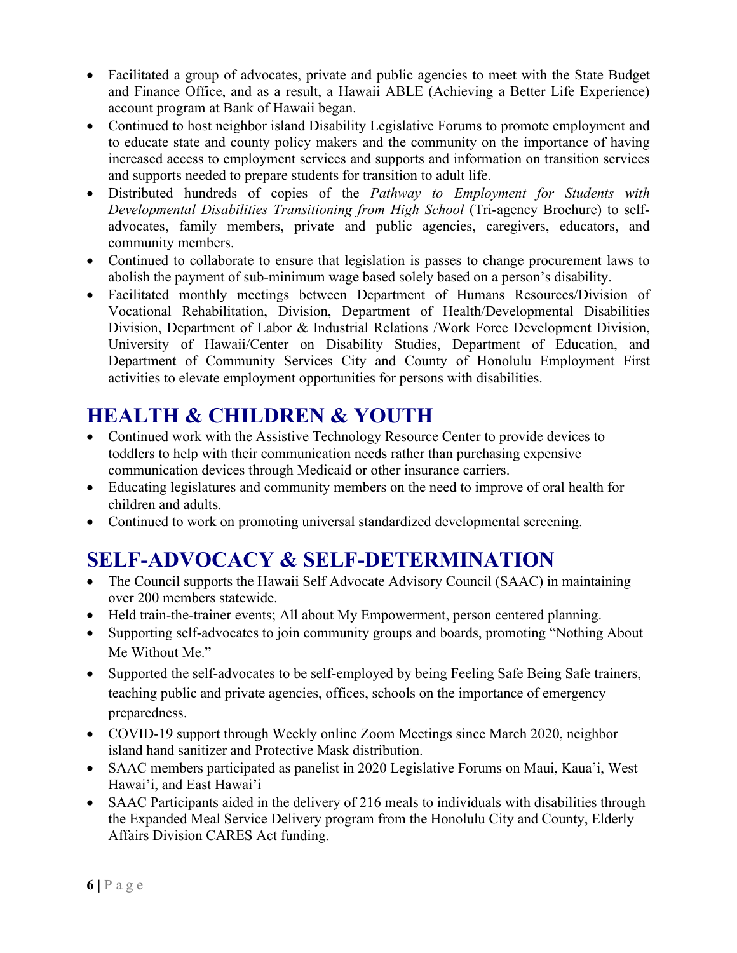- Facilitated a group of advocates, private and public agencies to meet with the State Budget and Finance Office, and as a result, a Hawaii ABLE (Achieving a Better Life Experience) account program at Bank of Hawaii began.
- Continued to host neighbor island Disability Legislative Forums to promote employment and to educate state and county policy makers and the community on the importance of having increased access to employment services and supports and information on transition services and supports needed to prepare students for transition to adult life.
- Distributed hundreds of copies of the *Pathway to Employment for Students with Developmental Disabilities Transitioning from High School* (Tri-agency Brochure) to selfadvocates, family members, private and public agencies, caregivers, educators, and community members.
- Continued to collaborate to ensure that legislation is passes to change procurement laws to abolish the payment of sub-minimum wage based solely based on a person's disability.
- Facilitated monthly meetings between Department of Humans Resources/Division of Vocational Rehabilitation, Division, Department of Health/Developmental Disabilities Division, Department of Labor & Industrial Relations /Work Force Development Division, University of Hawaii/Center on Disability Studies, Department of Education, and Department of Community Services City and County of Honolulu Employment First activities to elevate employment opportunities for persons with disabilities.

## **HEALTH & CHILDREN & YOUTH**

- Continued work with the Assistive Technology Resource Center to provide devices to toddlers to help with their communication needs rather than purchasing expensive communication devices through Medicaid or other insurance carriers.
- Educating legislatures and community members on the need to improve of oral health for children and adults.
- Continued to work on promoting universal standardized developmental screening.

## **SELF-ADVOCACY & SELF-DETERMINATION**

- The Council supports the Hawaii Self Advocate Advisory Council (SAAC) in maintaining over 200 members statewide.
- Held train-the-trainer events; All about My Empowerment, person centered planning.
- Supporting self-advocates to join community groups and boards, promoting "Nothing About Me Without Me."
- Supported the self-advocates to be self-employed by being Feeling Safe Being Safe trainers, teaching public and private agencies, offices, schools on the importance of emergency preparedness.
- COVID-19 support through Weekly online Zoom Meetings since March 2020, neighbor island hand sanitizer and Protective Mask distribution.
- SAAC members participated as panelist in 2020 Legislative Forums on Maui, Kaua'i, West Hawai'i, and East Hawai'i
- SAAC Participants aided in the delivery of 216 meals to individuals with disabilities through the Expanded Meal Service Delivery program from the Honolulu City and County, Elderly Affairs Division CARES Act funding.